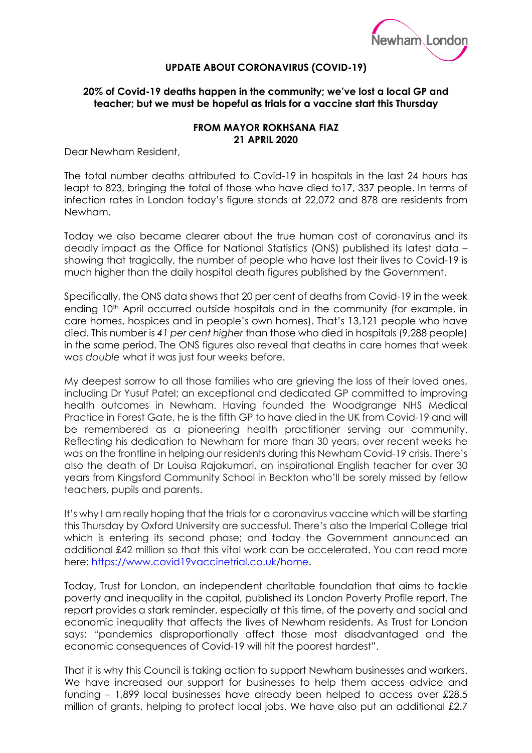

## **UPDATE ABOUT CORONAVIRUS (COVID-19)**

## **20% of Covid-19 deaths happen in the community; we've lost a local GP and teacher; but we must be hopeful as trials for a vaccine start this Thursday**

## **FROM MAYOR ROKHSANA FIAZ 21 APRIL 2020**

Dear Newham Resident,

The total number deaths attributed to Covid-19 in hospitals in the last 24 hours has leapt to 823, bringing the total of those who have died to17, 337 people. In terms of infection rates in London today's figure stands at 22,072 and 878 are residents from Newham.

Today we also became clearer about the true human cost of coronavirus and its deadly impact as the Office for National Statistics (ONS) published its latest data – showing that tragically, the number of people who have lost their lives to Covid-19 is much higher than the daily hospital death figures published by the Government.

Specifically, the ONS data shows that 20 per cent of deaths from Covid-19 in the week ending 10<sup>th</sup> April occurred outside hospitals and in the community (for example, in care homes, hospices and in people's own homes). That's 13,121 people who have died. This number is *41 per cent higher* than those who died in hospitals (9,288 people) in the same period. The ONS figures also reveal that deaths in care homes that week was *double* what it was just four weeks before.

My deepest sorrow to all those families who are grieving the loss of their loved ones, including Dr Yusuf Patel; an exceptional and dedicated GP committed to improving health outcomes in Newham. Having founded the Woodgrange NHS Medical Practice in Forest Gate, he is the fifth GP to have died in the UK from Covid-19 and will be remembered as a pioneering health practitioner serving our community. Reflecting his dedication to Newham for more than 30 years, over recent weeks he was on the frontline in helping our residents during this Newham Covid-19 crisis. There's also the death of Dr Louisa Rajakumari, an inspirational English teacher for over 30 years from Kingsford Community School in Beckton who'll be sorely missed by fellow teachers, pupils and parents.

It's why I am really hoping that the trials for a coronavirus vaccine which will be starting this Thursday by Oxford University are successful. There's also the Imperial College trial which is entering its second phase; and today the Government announced an additional £42 million so that this vital work can be accelerated. You can read more here: [https://www.covid19vaccinetrial.co.uk/home.](https://www.covid19vaccinetrial.co.uk/home)

Today, Trust for London, an independent charitable foundation that aims to tackle poverty and inequality in the capital, published its London Poverty Profile report. The report provides a stark reminder, especially at this time, of the poverty and social and economic inequality that affects the lives of Newham residents. As Trust for London says: "pandemics disproportionally affect those most disadvantaged and the economic consequences of Covid-19 will hit the poorest hardest".

That it is why this Council is taking action to support Newham businesses and workers. We have increased our support for businesses to help them access advice and funding – 1,899 local businesses have already been helped to access over £28.5 million of grants, helping to protect local jobs. We have also put an additional £2.7